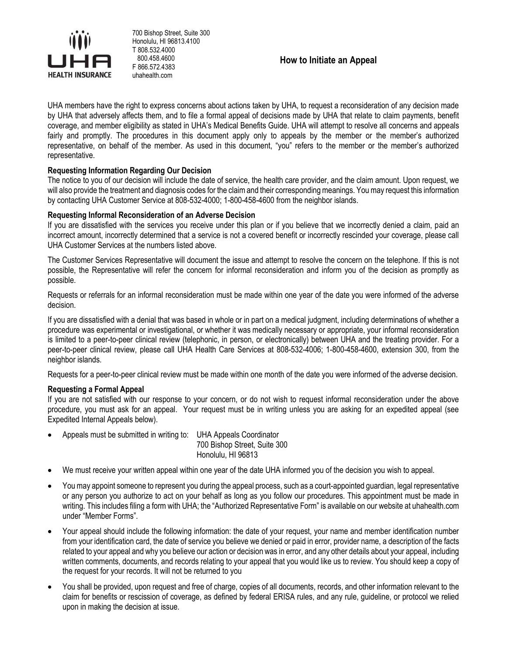

700 Bishop Street, Suite 300 Honolulu, HI 96813.4100 T 808.532.4000 800.458.4600 F 866.572.4383 uhahealth.com

**How to Initiate an Appeal**

UHA members have the right to express concerns about actions taken by UHA, to request a reconsideration of any decision made by UHA that adversely affects them, and to file a formal appeal of decisions made by UHA that relate to claim payments, benefit coverage, and member eligibility as stated in UHA's Medical Benefits Guide. UHA will attempt to resolve all concerns and appeals fairly and promptly. The procedures in this document apply only to appeals by the member or the member's authorized representative, on behalf of the member. As used in this document, "you" refers to the member or the member's authorized representative.

# **Requesting Information Regarding Our Decision**

The notice to you of our decision will include the date of service, the health care provider, and the claim amount. Upon request, we will also provide the treatment and diagnosis codes for the claim and their corresponding meanings. You may request this information by contacting UHA Customer Service at 808-532-4000; 1-800-458-4600 from the neighbor islands.

## **Requesting Informal Reconsideration of an Adverse Decision**

If you are dissatisfied with the services you receive under this plan or if you believe that we incorrectly denied a claim, paid an incorrect amount, incorrectly determined that a service is not a covered benefit or incorrectly rescinded your coverage, please call UHA Customer Services at the numbers listed above.

The Customer Services Representative will document the issue and attempt to resolve the concern on the telephone. If this is not possible, the Representative will refer the concern for informal reconsideration and inform you of the decision as promptly as possible.

Requests or referrals for an informal reconsideration must be made within one year of the date you were informed of the adverse decision.

If you are dissatisfied with a denial that was based in whole or in part on a medical judgment, including determinations of whether a procedure was experimental or investigational, or whether it was medically necessary or appropriate, your informal reconsideration is limited to a peer-to-peer clinical review (telephonic, in person, or electronically) between UHA and the treating provider. For a peer-to-peer clinical review, please call UHA Health Care Services at 808-532-4006; 1-800-458-4600, extension 300, from the neighbor islands.

Requests for a peer-to-peer clinical review must be made within one month of the date you were informed of the adverse decision.

## **Requesting a Formal Appeal**

If you are not satisfied with our response to your concern, or do not wish to request informal reconsideration under the above procedure, you must ask for an appeal. Your request must be in writing unless you are asking for an expedited appeal (see Expedited Internal Appeals below).

- Appeals must be submitted in writing to: UHA Appeals Coordinator 700 Bishop Street, Suite 300 Honolulu, HI 96813
- We must receive your written appeal within one year of the date UHA informed you of the decision you wish to appeal.
- You may appoint someone to represent you during the appeal process, such as a court-appointed guardian, legal representative or any person you authorize to act on your behalf as long as you follow our procedures. This appointment must be made in writing. This includes filing a form with UHA; the "Authorized Representative Form" is available on our website at uhahealth.com under "Member Forms".
- Your appeal should include the following information: the date of your request, your name and member identification number from your identification card, the date of service you believe we denied or paid in error, provider name, a description of the facts related to your appeal and why you believe our action or decision was in error, and any other details about your appeal, including written comments, documents, and records relating to your appeal that you would like us to review. You should keep a copy of the request for your records. It will not be returned to you
- You shall be provided, upon request and free of charge, copies of all documents, records, and other information relevant to the claim for benefits or rescission of coverage, as defined by federal ERISA rules, and any rule, guideline, or protocol we relied upon in making the decision at issue.